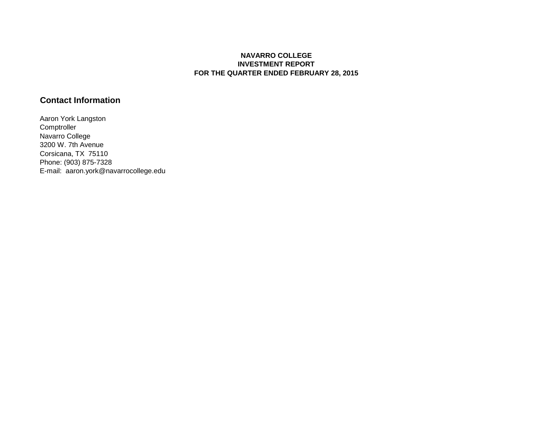## **NAVARRO COLLEGE INVESTMENT REPORT FOR THE QUARTER ENDED FEBRUARY 28, 2015**

## **Contact Information**

Aaron York Langston **Comptroller** Navarro College 3200 W. 7th Avenue Corsicana, TX 75110 Phone: (903) 875-7328 E-mail: aaron.york@navarrocollege.edu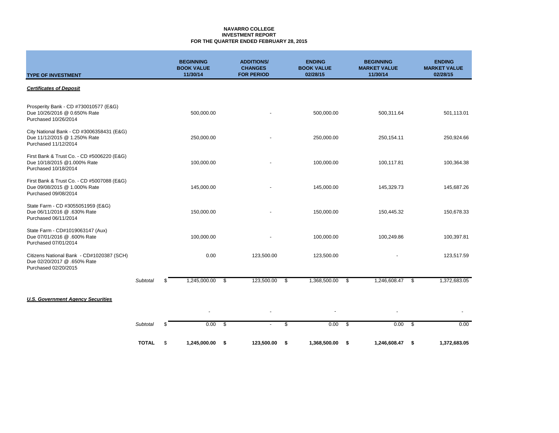### **NAVARRO COLLEGE INVESTMENT REPORT FOR THE QUARTER ENDED FEBRUARY 28, 2015**

| <b>TYPE OF INVESTMENT</b>                                                                          |              | <b>BEGINNING</b><br><b>BOOK VALUE</b><br>11/30/14 |               | <b>ADDITIONS/</b><br><b>CHANGES</b><br><b>FOR PERIOD</b> |     | <b>ENDING</b><br><b>BOOK VALUE</b><br>02/28/15 |      | <b>BEGINNING</b><br><b>MARKET VALUE</b><br>11/30/14 |      | <b>ENDING</b><br><b>MARKET VALUE</b><br>02/28/15 |
|----------------------------------------------------------------------------------------------------|--------------|---------------------------------------------------|---------------|----------------------------------------------------------|-----|------------------------------------------------|------|-----------------------------------------------------|------|--------------------------------------------------|
| <b>Certificates of Deposit</b>                                                                     |              |                                                   |               |                                                          |     |                                                |      |                                                     |      |                                                  |
| Prosperity Bank - CD #730010577 (E&G)<br>Due 10/26/2016 @ 0.650% Rate<br>Purchased 10/26/2014      |              | 500,000.00                                        |               |                                                          |     | 500,000.00                                     |      | 500,311.64                                          |      | 501,113.01                                       |
| City National Bank - CD #3006358431 (E&G)<br>Due 11/12/2015 @ 1.250% Rate<br>Purchased 11/12/2014  |              | 250,000.00                                        |               |                                                          |     | 250,000.00                                     |      | 250,154.11                                          |      | 250,924.66                                       |
| First Bank & Trust Co. - CD #5006220 (E&G)<br>Due 10/18/2015 @1.000% Rate<br>Purchased 10/18/2014  |              | 100,000.00                                        |               |                                                          |     | 100,000.00                                     |      | 100,117.81                                          |      | 100,364.38                                       |
| First Bank & Trust Co. - CD #5007088 (E&G)<br>Due 09/08/2015 @ 1.000% Rate<br>Purchased 09/08/2014 |              | 145,000.00                                        |               |                                                          |     | 145,000.00                                     |      | 145,329.73                                          |      | 145,687.26                                       |
| State Farm - CD #3055051959 (E&G)<br>Due 06/11/2016 @ .630% Rate<br>Purchased 06/11/2014           |              | 150,000.00                                        |               |                                                          |     | 150,000.00                                     |      | 150,445.32                                          |      | 150,678.33                                       |
| State Farm - CD#1019063147 (Aux)<br>Due 07/01/2016 @ .600% Rate<br>Purchased 07/01/2014            |              | 100,000.00                                        |               |                                                          |     | 100,000.00                                     |      | 100,249.86                                          |      | 100,397.81                                       |
| Citizens National Bank - CD#1020387 (SCH)<br>Due 02/20/2017 @ .650% Rate<br>Purchased 02/20/2015   |              | 0.00                                              |               | 123,500.00                                               |     | 123,500.00                                     |      |                                                     |      | 123,517.59                                       |
|                                                                                                    | Subtotal     | \$<br>1,245,000.00                                | \$            | 123,500.00                                               | -\$ | 1,368,500.00                                   | \$   | 1,246,608.47                                        | \$   | 1,372,683.05                                     |
| <b>U.S. Government Agency Securities</b>                                                           |              |                                                   |               |                                                          |     |                                                |      |                                                     |      |                                                  |
|                                                                                                    |              |                                                   |               |                                                          |     |                                                |      |                                                     |      |                                                  |
|                                                                                                    | Subtotal     | \$<br>0.00                                        | $\mathfrak s$ | $\overline{\phantom{a}}$                                 | \$  | $0.00\  \  \,$ \$                              |      | 0.00                                                | - \$ | 0.00                                             |
|                                                                                                    | <b>TOTAL</b> | \$<br>1,245,000.00                                | -\$           | 123,500.00                                               | \$  | 1,368,500.00                                   | - \$ | 1,246,608.47                                        | - \$ | 1,372,683.05                                     |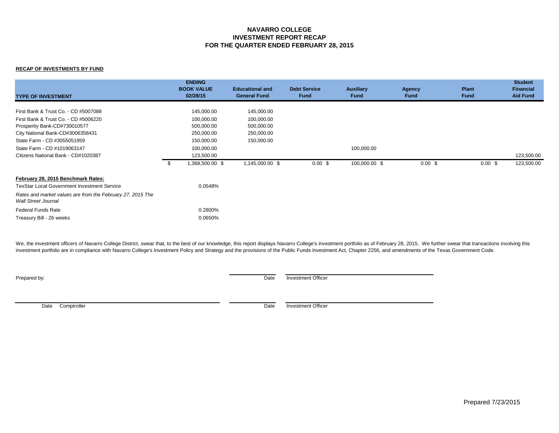## **NAVARRO COLLEGE INVESTMENT REPORT RECAP FOR THE QUARTER ENDED FEBRUARY 28, 2015**

### **RECAP OF INVESTMENTS BY FUND**

| <b>TYPE OF INVESTMENT</b>                                                                |    | <b>ENDING</b><br><b>BOOK VALUE</b><br>02/28/15 | <b>Educational and</b><br><b>General Fund</b> | <b>Debt Service</b><br><b>Fund</b> | <b>Auxiliary</b><br><b>Fund</b> | <b>Agency</b><br><b>Fund</b> | Plant<br><b>Fund</b> | <b>Student</b><br><b>Financial</b><br><b>Aid Fund</b> |
|------------------------------------------------------------------------------------------|----|------------------------------------------------|-----------------------------------------------|------------------------------------|---------------------------------|------------------------------|----------------------|-------------------------------------------------------|
| First Bank & Trust Co. - CD #5007088                                                     |    | 145,000.00                                     | 145,000.00                                    |                                    |                                 |                              |                      |                                                       |
|                                                                                          |    |                                                |                                               |                                    |                                 |                              |                      |                                                       |
| First Bank & Trust Co. - CD #5006220                                                     |    | 100,000.00                                     | 100,000.00                                    |                                    |                                 |                              |                      |                                                       |
| Prosperity Bank-CD#730010577                                                             |    | 500,000.00                                     | 500,000.00                                    |                                    |                                 |                              |                      |                                                       |
| City National Bank-CD#3006358431                                                         |    | 250,000.00                                     | 250,000.00                                    |                                    |                                 |                              |                      |                                                       |
| State Farm - CD #3055051959                                                              |    | 150,000.00                                     | 150,000.00                                    |                                    |                                 |                              |                      |                                                       |
| State Farm - CD #1019063147                                                              |    | 100,000.00                                     |                                               |                                    | 100,000.00                      |                              |                      |                                                       |
| Citizens National Bank - CD#1020387                                                      |    | 123,500.00                                     |                                               |                                    |                                 |                              |                      | 123,500.00                                            |
|                                                                                          | -S | 1,368,500.00 \$                                | 1,145,000.00 \$                               | 0.00~\$                            | 100,000.00 \$                   | $0.00 \text{ }$ \$           | $0.00 \text{ }$ \$   | 123,500.00                                            |
| February 28, 2015 Benchmark Rates:                                                       |    |                                                |                                               |                                    |                                 |                              |                      |                                                       |
| <b>TexStar Local Government Investment Service</b>                                       |    | 0.0548%                                        |                                               |                                    |                                 |                              |                      |                                                       |
| Rates and market values are from the February 27, 2015 The<br><b>Wall Street Journal</b> |    |                                                |                                               |                                    |                                 |                              |                      |                                                       |
| <b>Federal Funds Rate</b>                                                                |    | 0.2800%                                        |                                               |                                    |                                 |                              |                      |                                                       |
| Treasury Bill - 26 weeks                                                                 |    | 0.0650%                                        |                                               |                                    |                                 |                              |                      |                                                       |

We, the investment officers of Navarro College District, swear that, to the best of our knowledge, this report displays Navarro College's investment portfolio as of February 28, 2015. We further swear that transactions inv investment portfolio are in compliance with Navarro College's Investment Policy and Strategy and the provisions of the Public Funds Investment Act, Chapter 2256, and amendments of the Texas Government Code.

**Prepared by:** Date Investment Officer

Date Comptroller Date Investment Officer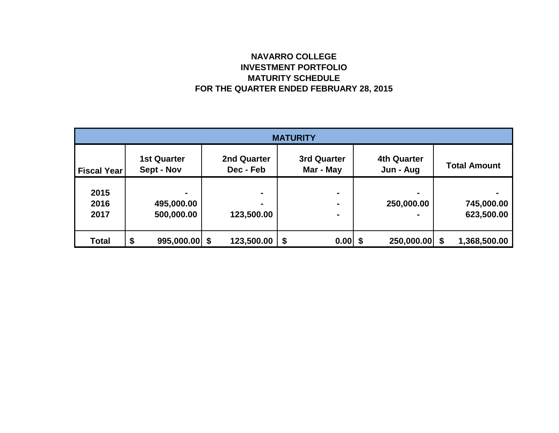# **NAVARRO COLLEGE INVESTMENT PORTFOLIO MATURITY SCHEDULE FOR THE QUARTER ENDED FEBRUARY 28, 2015**

| <b>MATURITY</b>      |                                  |                              |                                  |                                 |                          |  |  |  |
|----------------------|----------------------------------|------------------------------|----------------------------------|---------------------------------|--------------------------|--|--|--|
| <b>Fiscal Year</b>   | <b>1st Quarter</b><br>Sept - Nov | 2nd Quarter<br>Dec - Feb     | <b>3rd Quarter</b><br>Mar - May  | <b>4th Quarter</b><br>Jun - Aug | <b>Total Amount</b>      |  |  |  |
| 2015<br>2016<br>2017 | -<br>495,000.00<br>500,000.00    | $\blacksquare$<br>123,500.00 | $\blacksquare$<br>$\blacksquare$ | 250,000.00                      | 745,000.00<br>623,500.00 |  |  |  |
| <b>Total</b>         | \$<br>$995,000.00$ \$            | 123,500.00                   | \$<br>0.00                       | 250,000.00 \$                   | 1,368,500.00             |  |  |  |